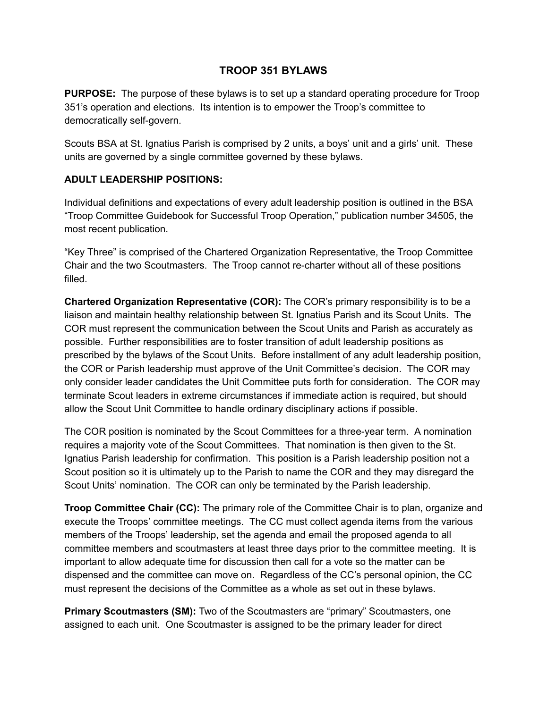# **TROOP 351 BYLAWS**

**PURPOSE:** The purpose of these bylaws is to set up a standard operating procedure for Troop 351's operation and elections. Its intention is to empower the Troop's committee to democratically self-govern.

Scouts BSA at St. Ignatius Parish is comprised by 2 units, a boys' unit and a girls' unit. These units are governed by a single committee governed by these bylaws.

#### **ADULT LEADERSHIP POSITIONS:**

Individual definitions and expectations of every adult leadership position is outlined in the BSA "Troop Committee Guidebook for Successful Troop Operation," publication number 34505, the most recent publication.

"Key Three" is comprised of the Chartered Organization Representative, the Troop Committee Chair and the two Scoutmasters. The Troop cannot re-charter without all of these positions filled.

**Chartered Organization Representative (COR):** The COR's primary responsibility is to be a liaison and maintain healthy relationship between St. Ignatius Parish and its Scout Units. The COR must represent the communication between the Scout Units and Parish as accurately as possible. Further responsibilities are to foster transition of adult leadership positions as prescribed by the bylaws of the Scout Units. Before installment of any adult leadership position, the COR or Parish leadership must approve of the Unit Committee's decision. The COR may only consider leader candidates the Unit Committee puts forth for consideration. The COR may terminate Scout leaders in extreme circumstances if immediate action is required, but should allow the Scout Unit Committee to handle ordinary disciplinary actions if possible.

The COR position is nominated by the Scout Committees for a three-year term. A nomination requires a majority vote of the Scout Committees. That nomination is then given to the St. Ignatius Parish leadership for confirmation. This position is a Parish leadership position not a Scout position so it is ultimately up to the Parish to name the COR and they may disregard the Scout Units' nomination. The COR can only be terminated by the Parish leadership.

**Troop Committee Chair (CC):** The primary role of the Committee Chair is to plan, organize and execute the Troops' committee meetings. The CC must collect agenda items from the various members of the Troops' leadership, set the agenda and email the proposed agenda to all committee members and scoutmasters at least three days prior to the committee meeting. It is important to allow adequate time for discussion then call for a vote so the matter can be dispensed and the committee can move on. Regardless of the CC's personal opinion, the CC must represent the decisions of the Committee as a whole as set out in these bylaws.

**Primary Scoutmasters (SM):** Two of the Scoutmasters are "primary" Scoutmasters, one assigned to each unit. One Scoutmaster is assigned to be the primary leader for direct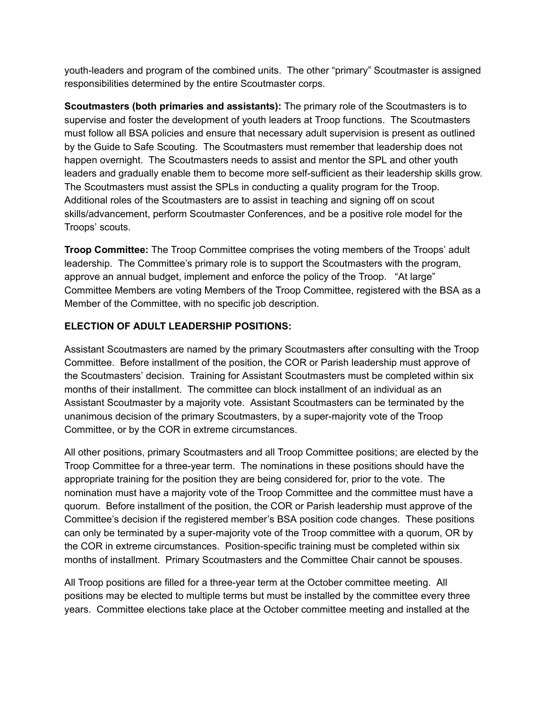youth-leaders and program of the combined units. The other "primary" Scoutmaster is assigned responsibilities determined by the entire Scoutmaster corps.

**Scoutmasters (both primaries and assistants):** The primary role of the Scoutmasters is to supervise and foster the development of youth leaders at Troop functions. The Scoutmasters must follow all BSA policies and ensure that necessary adult supervision is present as outlined by the Guide to Safe Scouting. The Scoutmasters must remember that leadership does not happen overnight. The Scoutmasters needs to assist and mentor the SPL and other youth leaders and gradually enable them to become more self-sufficient as their leadership skills grow. The Scoutmasters must assist the SPLs in conducting a quality program for the Troop. Additional roles of the Scoutmasters are to assist in teaching and signing off on scout skills/advancement, perform Scoutmaster Conferences, and be a positive role model for the Troops' scouts.

**Troop Committee:** The Troop Committee comprises the voting members of the Troops' adult leadership. The Committee's primary role is to support the Scoutmasters with the program, approve an annual budget, implement and enforce the policy of the Troop. "At large" Committee Members are voting Members of the Troop Committee, registered with the BSA as a Member of the Committee, with no specific job description.

## **ELECTION OF ADULT LEADERSHIP POSITIONS:**

Assistant Scoutmasters are named by the primary Scoutmasters after consulting with the Troop Committee. Before installment of the position, the COR or Parish leadership must approve of the Scoutmasters' decision. Training for Assistant Scoutmasters must be completed within six months of their installment. The committee can block installment of an individual as an Assistant Scoutmaster by a majority vote. Assistant Scoutmasters can be terminated by the unanimous decision of the primary Scoutmasters, by a super-majority vote of the Troop Committee, or by the COR in extreme circumstances.

All other positions, primary Scoutmasters and all Troop Committee positions; are elected by the Troop Committee for a three-year term. The nominations in these positions should have the appropriate training for the position they are being considered for, prior to the vote. The nomination must have a majority vote of the Troop Committee and the committee must have a quorum. Before installment of the position, the COR or Parish leadership must approve of the Committee's decision if the registered member's BSA position code changes. These positions can only be terminated by a super-majority vote of the Troop committee with a quorum, OR by the COR in extreme circumstances. Position-specific training must be completed within six months of installment. Primary Scoutmasters and the Committee Chair cannot be spouses.

All Troop positions are filled for a three-year term at the October committee meeting. All positions may be elected to multiple terms but must be installed by the committee every three years. Committee elections take place at the October committee meeting and installed at the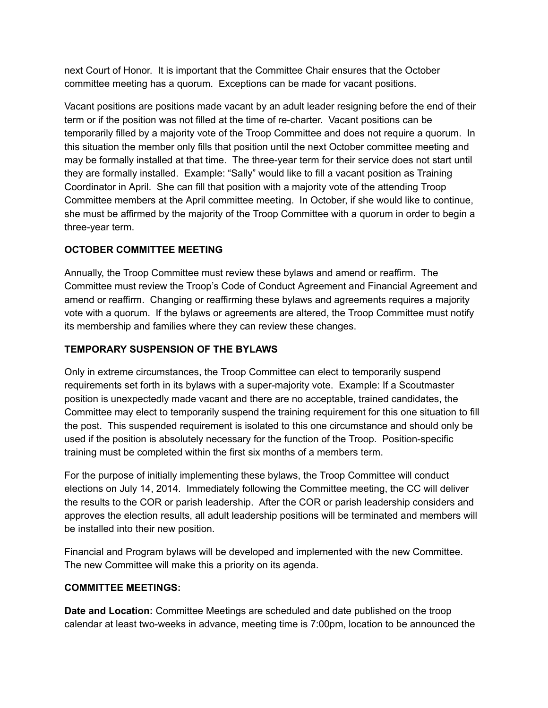next Court of Honor. It is important that the Committee Chair ensures that the October committee meeting has a quorum. Exceptions can be made for vacant positions.

Vacant positions are positions made vacant by an adult leader resigning before the end of their term or if the position was not filled at the time of recharter. Vacant positions can be temporarily filled by a majority vote of the Troop Committee and does not require a quorum. In this situation the member only fills that position until the next October committee meeting and may be formally installed at that time. The three-year term for their service does not start until they are formally installed. Example: "Sally" would like to fill a vacant position as Training Coordinator in April. She can fill that position with a majority vote of the attending Troop Committee members at the April committee meeting. In October, if she would like to continue, she must be affirmed by the majority of the Troop Committee with a quorum in order to begin a three-year term.

## **OCTOBER COMMITTEE MEETING**

Annually, the Troop Committee must review these bylaws and amend or reaffirm. The Committee must review the Troop's Code of Conduct Agreement and Financial Agreement and amend or reaffirm. Changing or reaffirming these bylaws and agreements requires a majority vote with a quorum. If the bylaws or agreements are altered, the Troop Committee must notify its membership and families where they can review these changes.

## **TEMPORARY SUSPENSION OF THE BYLAWS**

Only in extreme circumstances, the Troop Committee can elect to temporarily suspend requirements set forth in its bylaws with a supermajority vote. Example: If a Scoutmaster position is unexpectedly made vacant and there are no acceptable, trained candidates, the Committee may elect to temporarily suspend the training requirement for this one situation to fill the post. This suspended requirement is isolated to this one circumstance and should only be used if the position is absolutely necessary for the function of the Troop. Position-specific training must be completed within the first six months of a members term.

For the purpose of initially implementing these bylaws, the Troop Committee will conduct elections on July 14, 2014. Immediately following the Committee meeting, the CC will deliver the results to the COR or parish leadership. After the COR or parish leadership considers and approves the election results, all adult leadership positions will be terminated and members will be installed into their new position.

Financial and Program bylaws will be developed and implemented with the new Committee. The new Committee will make this a priority on its agenda.

#### **COMMITTEE MEETINGS:**

**Date and Location:** Committee Meetings are scheduled and date published on the troop calendar at least two-weeks in advance, meeting time is 7:00pm, location to be announced the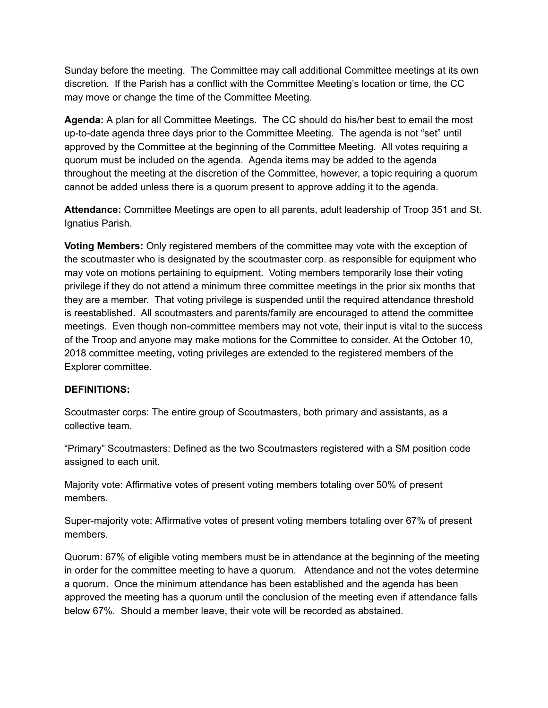Sunday before the meeting. The Committee may call additional Committee meetings at its own discretion. If the Parish has a conflict with the Committee Meeting's location or time, the CC may move or change the time of the Committee Meeting.

**Agenda:** A plan for all Committee Meetings. The CC should do his/her best to email the most up-to-date agenda three days prior to the Committee Meeting. The agenda is not "set" until approved by the Committee at the beginning of the Committee Meeting. All votes requiring a quorum must be included on the agenda. Agenda items may be added to the agenda throughout the meeting at the discretion of the Committee, however, a topic requiring a quorum cannot be added unless there is a quorum present to approve adding it to the agenda.

**Attendance:** Committee Meetings are open to all parents, adult leadership of Troop 351 and St. Ignatius Parish.

**Voting Members:** Only registered members of the committee may vote with the exception of the scoutmaster who is designated by the scoutmaster corp. as responsible for equipment who may vote on motions pertaining to equipment. Voting members temporarily lose their voting privilege if they do not attend a minimum three committee meetings in the prior six months that they are a member. That voting privilege is suspended until the required attendance threshold is reestablished. All scoutmasters and parents/family are encouraged to attend the committee meetings. Even though non-committee members may not vote, their input is vital to the success of the Troop and anyone may make motions for the Committee to consider. At the October 10, 2018 committee meeting, voting privileges are extended to the registered members of the Explorer committee.

#### **DEFINITIONS:**

Scoutmaster corps: The entire group of Scoutmasters, both primary and assistants, as a collective team.

"Primary" Scoutmasters: Defined as the two Scoutmasters registered with a SM position code assigned to each unit.

Majority vote: Affirmative votes of present voting members totaling over 50% of present members.

Super-majority vote: Affirmative votes of present voting members totaling over 67% of present members.

Quorum: 67% of eligible voting members must be in attendance at the beginning of the meeting in order for the committee meeting to have a quorum. Attendance and not the votes determine a quorum. Once the minimum attendance has been established and the agenda has been approved the meeting has a quorum until the conclusion of the meeting even if attendance falls below 67%. Should a member leave, their vote will be recorded as abstained.